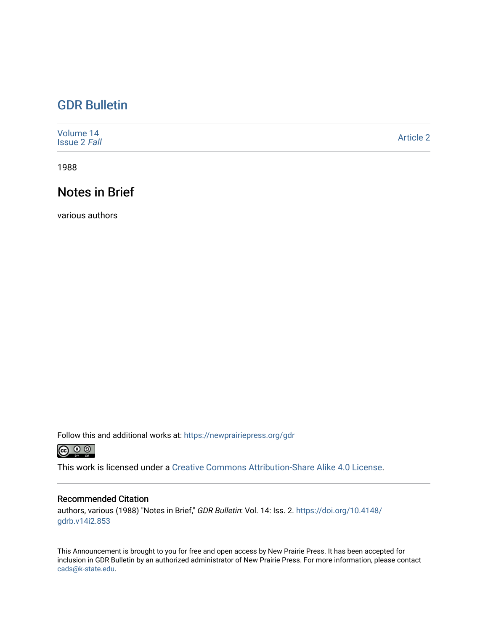# [GDR Bulletin](https://newprairiepress.org/gdr)

| Volume 14<br><b>Issue 2 Fall</b> | <b>Article 2</b> |
|----------------------------------|------------------|
|----------------------------------|------------------|

1988

# Notes in Brief

various authors

Follow this and additional works at: [https://newprairiepress.org/gdr](https://newprairiepress.org/gdr?utm_source=newprairiepress.org%2Fgdr%2Fvol14%2Fiss2%2F2&utm_medium=PDF&utm_campaign=PDFCoverPages) 



This work is licensed under a [Creative Commons Attribution-Share Alike 4.0 License.](https://creativecommons.org/licenses/by-sa/4.0/)

## Recommended Citation

authors, various (1988) "Notes in Brief," GDR Bulletin: Vol. 14: Iss. 2. [https://doi.org/10.4148/](https://doi.org/10.4148/gdrb.v14i2.853) [gdrb.v14i2.853](https://doi.org/10.4148/gdrb.v14i2.853)

This Announcement is brought to you for free and open access by New Prairie Press. It has been accepted for inclusion in GDR Bulletin by an authorized administrator of New Prairie Press. For more information, please contact [cads@k-state.edu.](mailto:cads@k-state.edu)